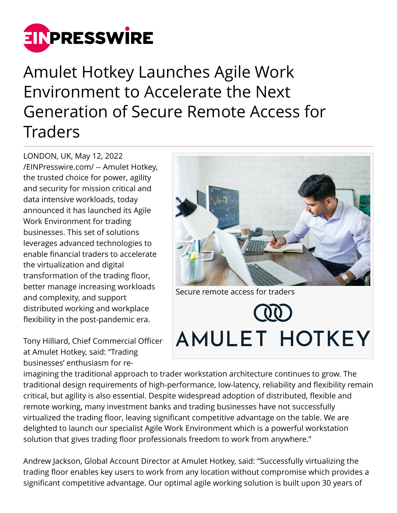

Amulet Hotkey Launches Agile Work Environment to Accelerate the Next Generation of Secure Remote Access for Traders

LONDON, UK, May 12, 2022 [/EINPresswire.com/](http://www.einpresswire.com) -- Amulet Hotkey, the trusted choice for power, agility and security for mission critical and data intensive workloads, today announced it has launched its Agile Work Environment for trading businesses. This set of solutions leverages advanced technologies to enable financial traders to accelerate the virtualization and digital transformation of the trading floor, better manage increasing workloads and complexity, and support distributed working and workplace flexibility in the post-pandemic era.

Tony Hilliard, Chief Commercial Officer at Amulet Hotkey, said: "Trading businesses' enthusiasm for re-



Secure remote access for traders

## AMULET HOTKEY

imagining the traditional approach to trader workstation architecture continues to grow. The traditional design requirements of high-performance, low-latency, reliability and flexibility remain critical, but agility is also essential. Despite widespread adoption of distributed, flexible and remote working, many investment banks and trading businesses have not successfully virtualized the trading floor, leaving significant competitive advantage on the table. We are delighted to launch our specialist Agile Work Environment which is a powerful workstation solution that gives trading floor professionals freedom to work from anywhere."

Andrew Jackson, Global Account Director at Amulet Hotkey, said: "Successfully virtualizing the trading floor enables key users to work from any location without compromise which provides a significant competitive advantage. Our optimal agile working solution is built upon 30 years of